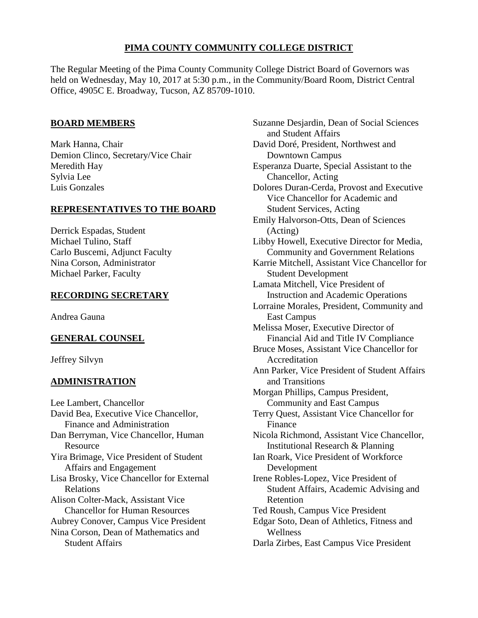# **PIMA COUNTY COMMUNITY COLLEGE DISTRICT**

The Regular Meeting of the Pima County Community College District Board of Governors was held on Wednesday, May 10, 2017 at 5:30 p.m., in the Community/Board Room, District Central Office, 4905C E. Broadway, Tucson, AZ 85709-1010.

# **BOARD MEMBERS**

Mark Hanna, Chair Demion Clinco, Secretary/Vice Chair Meredith Hay Sylvia Lee Luis Gonzales

# **REPRESENTATIVES TO THE BOARD**

Derrick Espadas, Student Michael Tulino, Staff Carlo Buscemi, Adjunct Faculty Nina Corson, Administrator Michael Parker, Faculty

# **RECORDING SECRETARY**

Andrea Gauna

# **GENERAL COUNSEL**

Jeffrey Silvyn

# **ADMINISTRATION**

Lee Lambert, Chancellor David Bea, Executive Vice Chancellor, Finance and Administration Dan Berryman, Vice Chancellor, Human Resource Yira Brimage, Vice President of Student Affairs and Engagement Lisa Brosky, Vice Chancellor for External Relations Alison Colter-Mack, Assistant Vice Chancellor for Human Resources Aubrey Conover, Campus Vice President Nina Corson, Dean of Mathematics and Student Affairs

Suzanne Desjardin, Dean of Social Sciences and Student Affairs David Doré, President, Northwest and Downtown Campus Esperanza Duarte, Special Assistant to the Chancellor, Acting Dolores Duran-Cerda, Provost and Executive Vice Chancellor for Academic and Student Services, Acting Emily Halvorson-Otts, Dean of Sciences (Acting) Libby Howell, Executive Director for Media, Community and Government Relations Karrie Mitchell, Assistant Vice Chancellor for Student Development Lamata Mitchell, Vice President of Instruction and Academic Operations Lorraine Morales, President, Community and East Campus Melissa Moser, Executive Director of Financial Aid and Title IV Compliance Bruce Moses, Assistant Vice Chancellor for Accreditation Ann Parker, Vice President of Student Affairs and Transitions Morgan Phillips, Campus President, Community and East Campus Terry Quest, Assistant Vice Chancellor for Finance Nicola Richmond, Assistant Vice Chancellor, Institutional Research & Planning Ian Roark, Vice President of Workforce Development Irene Robles-Lopez, Vice President of Student Affairs, Academic Advising and Retention Ted Roush, Campus Vice President Edgar Soto, Dean of Athletics, Fitness and Wellness Darla Zirbes, East Campus Vice President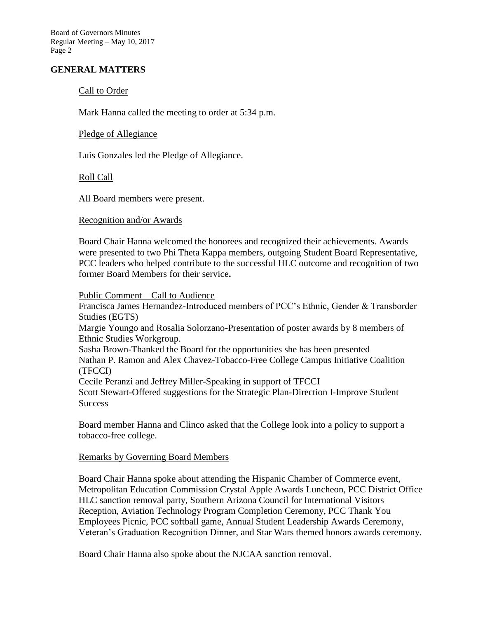Board of Governors Minutes Regular Meeting – May 10, 2017 Page 2

# **GENERAL MATTERS**

# Call to Order

Mark Hanna called the meeting to order at 5:34 p.m.

# Pledge of Allegiance

Luis Gonzales led the Pledge of Allegiance.

# Roll Call

All Board members were present.

# Recognition and/or Awards

Board Chair Hanna welcomed the honorees and recognized their achievements. Awards were presented to two Phi Theta Kappa members, outgoing Student Board Representative, PCC leaders who helped contribute to the successful HLC outcome and recognition of two former Board Members for their service**.** 

#### Public Comment – Call to Audience

Francisca James Hernandez-Introduced members of PCC's Ethnic, Gender & Transborder Studies (EGTS) Margie Youngo and Rosalia Solorzano-Presentation of poster awards by 8 members of Ethnic Studies Workgroup. Sasha Brown-Thanked the Board for the opportunities she has been presented Nathan P. Ramon and Alex Chavez-Tobacco-Free College Campus Initiative Coalition (TFCCI) Cecile Peranzi and Jeffrey Miller-Speaking in support of TFCCI Scott Stewart-Offered suggestions for the Strategic Plan-Direction I-Improve Student **Success** 

Board member Hanna and Clinco asked that the College look into a policy to support a tobacco-free college.

# Remarks by Governing Board Members

Board Chair Hanna spoke about attending the Hispanic Chamber of Commerce event, Metropolitan Education Commission Crystal Apple Awards Luncheon, PCC District Office HLC sanction removal party, Southern Arizona Council for International Visitors Reception, Aviation Technology Program Completion Ceremony, PCC Thank You Employees Picnic, PCC softball game, Annual Student Leadership Awards Ceremony, Veteran's Graduation Recognition Dinner, and Star Wars themed honors awards ceremony.

Board Chair Hanna also spoke about the NJCAA sanction removal.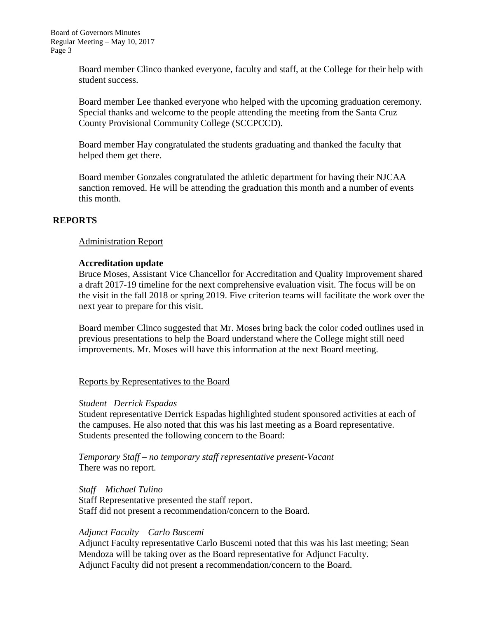Board member Clinco thanked everyone, faculty and staff, at the College for their help with student success.

Board member Lee thanked everyone who helped with the upcoming graduation ceremony. Special thanks and welcome to the people attending the meeting from the Santa Cruz County Provisional Community College (SCCPCCD).

Board member Hay congratulated the students graduating and thanked the faculty that helped them get there.

Board member Gonzales congratulated the athletic department for having their NJCAA sanction removed. He will be attending the graduation this month and a number of events this month.

# **REPORTS**

# Administration Report

# **Accreditation update**

Bruce Moses, Assistant Vice Chancellor for Accreditation and Quality Improvement shared a draft 2017-19 timeline for the next comprehensive evaluation visit. The focus will be on the visit in the fall 2018 or spring 2019. Five criterion teams will facilitate the work over the next year to prepare for this visit.

Board member Clinco suggested that Mr. Moses bring back the color coded outlines used in previous presentations to help the Board understand where the College might still need improvements. Mr. Moses will have this information at the next Board meeting.

# Reports by Representatives to the Board

# *Student –Derrick Espadas*

Student representative Derrick Espadas highlighted student sponsored activities at each of the campuses. He also noted that this was his last meeting as a Board representative. Students presented the following concern to the Board:

*Temporary Staff – no temporary staff representative present-Vacant* There was no report.

*Staff – Michael Tulino* Staff Representative presented the staff report. Staff did not present a recommendation/concern to the Board.

# *Adjunct Faculty – Carlo Buscemi*

Adjunct Faculty representative Carlo Buscemi noted that this was his last meeting; Sean Mendoza will be taking over as the Board representative for Adjunct Faculty. Adjunct Faculty did not present a recommendation/concern to the Board.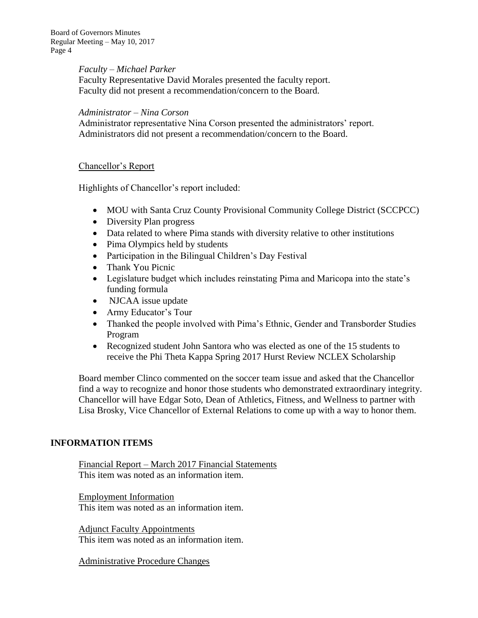Board of Governors Minutes Regular Meeting – May 10, 2017 Page 4

#### *Faculty – Michael Parker*

Faculty Representative David Morales presented the faculty report. Faculty did not present a recommendation/concern to the Board.

### *Administrator – Nina Corson*

Administrator representative Nina Corson presented the administrators' report. Administrators did not present a recommendation/concern to the Board.

# Chancellor's Report

Highlights of Chancellor's report included:

- MOU with Santa Cruz County Provisional Community College District (SCCPCC)
- Diversity Plan progress
- Data related to where Pima stands with diversity relative to other institutions
- Pima Olympics held by students
- Participation in the Bilingual Children's Day Festival
- Thank You Picnic
- Legislature budget which includes reinstating Pima and Maricopa into the state's funding formula
- NJCAA issue update
- Army Educator's Tour
- Thanked the people involved with Pima's Ethnic, Gender and Transborder Studies Program
- Recognized student John Santora who was elected as one of the 15 students to receive the Phi Theta Kappa Spring 2017 Hurst Review NCLEX Scholarship

Board member Clinco commented on the soccer team issue and asked that the Chancellor find a way to recognize and honor those students who demonstrated extraordinary integrity. Chancellor will have Edgar Soto, Dean of Athletics, Fitness, and Wellness to partner with Lisa Brosky, Vice Chancellor of External Relations to come up with a way to honor them.

# **INFORMATION ITEMS**

Financial Report – March 2017 Financial Statements This item was noted as an information item.

Employment Information This item was noted as an information item.

Adjunct Faculty Appointments This item was noted as an information item.

Administrative Procedure Changes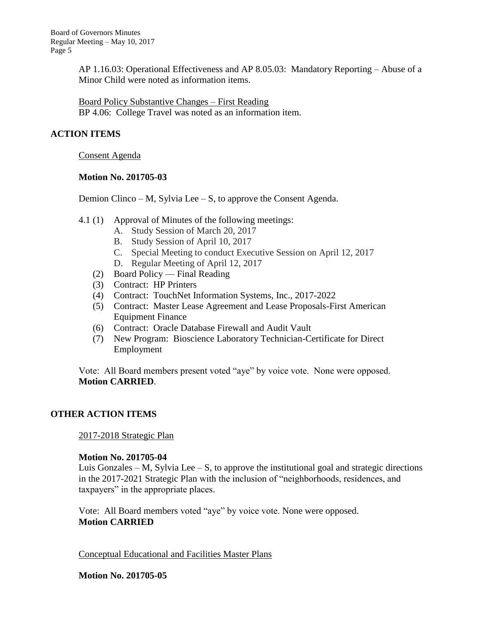AP 1.16.03: Operational Effectiveness and AP 8.05.03: Mandatory Reporting – Abuse of a Minor Child were noted as information items.

Board Policy Substantive Changes – First Reading BP 4.06: College Travel was noted as an information item.

# **ACTION ITEMS**

Consent Agenda

### **Motion No. 201705-03**

Demion Clinco – M, Sylvia Lee – S, to approve the Consent Agenda.

- 4.1 (1) Approval of Minutes of the following meetings:
	- A. Study Session of March 20, 2017
	- B. Study Session of April 10, 2017
	- C. Special Meeting to conduct Executive Session on April 12, 2017
	- D. Regular Meeting of April 12, 2017
	- (2) Board Policy Final Reading
	- (3) Contract: HP Printers
	- (4) Contract: TouchNet Information Systems, Inc., 2017-2022
	- (5) Contract: Master Lease Agreement and Lease Proposals-First American Equipment Finance
	- (6) Contract: Oracle Database Firewall and Audit Vault
	- (7) New Program: Bioscience Laboratory Technician-Certificate for Direct Employment

Vote: All Board members present voted "aye" by voice vote. None were opposed. **Motion CARRIED**.

# **OTHER ACTION ITEMS**

2017-2018 Strategic Plan

# **Motion No. 201705-04**

Luis Gonzales – M, Sylvia Lee – S, to approve the institutional goal and strategic directions in the 2017-2021 Strategic Plan with the inclusion of "neighborhoods, residences, and taxpayers" in the appropriate places.

Vote: All Board members voted "aye" by voice vote. None were opposed. **Motion CARRIED**

Conceptual Educational and Facilities Master Plans

**Motion No. 201705-05**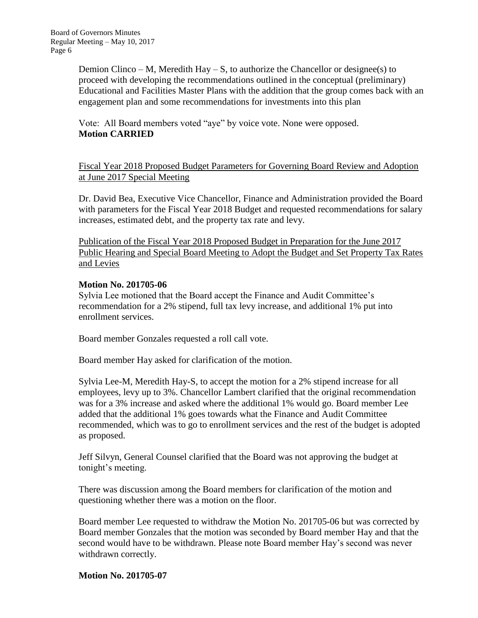Demion Clinco – M, Meredith Hay – S, to authorize the Chancellor or designee(s) to proceed with developing the recommendations outlined in the conceptual (preliminary) Educational and Facilities Master Plans with the addition that the group comes back with an engagement plan and some recommendations for investments into this plan

Vote: All Board members voted "aye" by voice vote. None were opposed. **Motion CARRIED**

Fiscal Year 2018 Proposed Budget Parameters for Governing Board Review and Adoption at June 2017 Special Meeting

Dr. David Bea, Executive Vice Chancellor, Finance and Administration provided the Board with parameters for the Fiscal Year 2018 Budget and requested recommendations for salary increases, estimated debt, and the property tax rate and levy.

Publication of the Fiscal Year 2018 Proposed Budget in Preparation for the June 2017 Public Hearing and Special Board Meeting to Adopt the Budget and Set Property Tax Rates and Levies

# **Motion No. 201705-06**

Sylvia Lee motioned that the Board accept the Finance and Audit Committee's recommendation for a 2% stipend, full tax levy increase, and additional 1% put into enrollment services.

Board member Gonzales requested a roll call vote.

Board member Hay asked for clarification of the motion.

Sylvia Lee-M, Meredith Hay-S, to accept the motion for a 2% stipend increase for all employees, levy up to 3%. Chancellor Lambert clarified that the original recommendation was for a 3% increase and asked where the additional 1% would go. Board member Lee added that the additional 1% goes towards what the Finance and Audit Committee recommended, which was to go to enrollment services and the rest of the budget is adopted as proposed.

Jeff Silvyn, General Counsel clarified that the Board was not approving the budget at tonight's meeting.

There was discussion among the Board members for clarification of the motion and questioning whether there was a motion on the floor.

Board member Lee requested to withdraw the Motion No. 201705-06 but was corrected by Board member Gonzales that the motion was seconded by Board member Hay and that the second would have to be withdrawn. Please note Board member Hay's second was never withdrawn correctly.

#### **Motion No. 201705-07**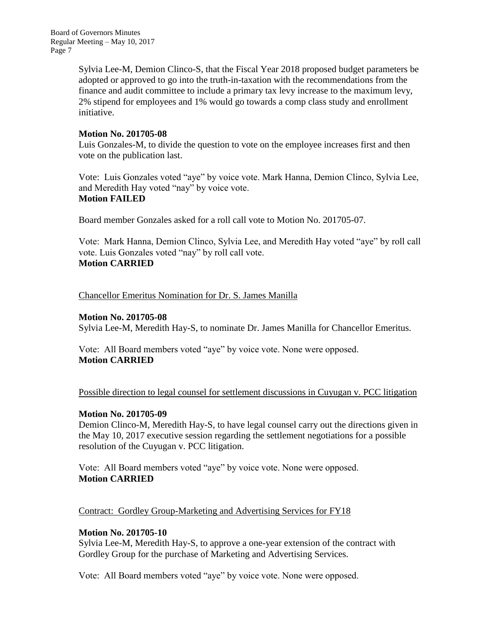Sylvia Lee-M, Demion Clinco-S, that the Fiscal Year 2018 proposed budget parameters be adopted or approved to go into the truth-in-taxation with the recommendations from the finance and audit committee to include a primary tax levy increase to the maximum levy, 2% stipend for employees and 1% would go towards a comp class study and enrollment initiative.

# **Motion No. 201705-08**

Luis Gonzales-M, to divide the question to vote on the employee increases first and then vote on the publication last.

Vote: Luis Gonzales voted "aye" by voice vote. Mark Hanna, Demion Clinco, Sylvia Lee, and Meredith Hay voted "nay" by voice vote. **Motion FAILED**

Board member Gonzales asked for a roll call vote to Motion No. 201705-07.

Vote: Mark Hanna, Demion Clinco, Sylvia Lee, and Meredith Hay voted "aye" by roll call vote. Luis Gonzales voted "nay" by roll call vote. **Motion CARRIED**

Chancellor Emeritus Nomination for Dr. S. James Manilla

# **Motion No. 201705-08**

Sylvia Lee-M, Meredith Hay-S, to nominate Dr. James Manilla for Chancellor Emeritus.

Vote: All Board members voted "aye" by voice vote. None were opposed. **Motion CARRIED**

Possible direction to legal counsel for settlement discussions in Cuyugan v. PCC litigation

# **Motion No. 201705-09**

Demion Clinco-M, Meredith Hay-S, to have legal counsel carry out the directions given in the May 10, 2017 executive session regarding the settlement negotiations for a possible resolution of the Cuyugan v. PCC litigation.

Vote: All Board members voted "aye" by voice vote. None were opposed. **Motion CARRIED**

Contract: Gordley Group-Marketing and Advertising Services for FY18

# **Motion No. 201705-10**

Sylvia Lee-M, Meredith Hay-S, to approve a one-year extension of the contract with Gordley Group for the purchase of Marketing and Advertising Services.

Vote: All Board members voted "aye" by voice vote. None were opposed.